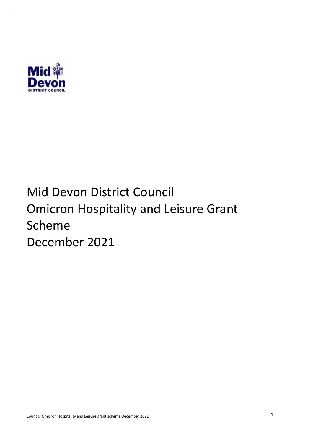

# Mid Devon District Council Omicron Hospitality and Leisure Grant December 2021 Scheme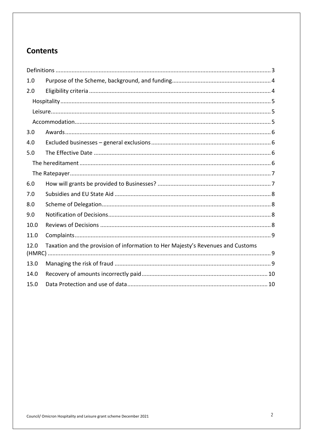# **Contents**

| 1.0                                                                                     |  |  |  |
|-----------------------------------------------------------------------------------------|--|--|--|
| 2.0                                                                                     |  |  |  |
|                                                                                         |  |  |  |
|                                                                                         |  |  |  |
|                                                                                         |  |  |  |
| 3.0                                                                                     |  |  |  |
| 4.0                                                                                     |  |  |  |
| 5.0                                                                                     |  |  |  |
|                                                                                         |  |  |  |
|                                                                                         |  |  |  |
| 6.0                                                                                     |  |  |  |
| 7.0                                                                                     |  |  |  |
| 8.0                                                                                     |  |  |  |
| 9.0                                                                                     |  |  |  |
| 10.0                                                                                    |  |  |  |
| 11.0                                                                                    |  |  |  |
| Taxation and the provision of information to Her Majesty's Revenues and Customs<br>12.0 |  |  |  |
| 13.0                                                                                    |  |  |  |
| 14.0                                                                                    |  |  |  |
| 15.0                                                                                    |  |  |  |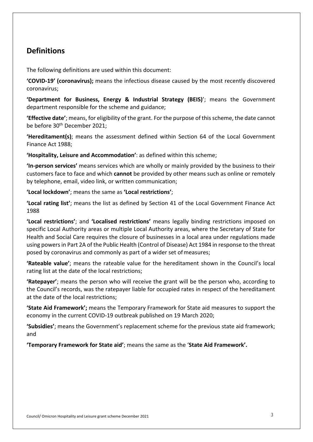## **Definitions**

The following definitions are used within this document:

 **'COVID-19' (coronavirus);** means the infectious disease caused by the most recently discovered coronavirus;

 **'Department for Business, Energy & Industrial Strategy (BEIS)**'; means the Government department responsible for the scheme and guidance;

 **'Effective date'**; means, for eligibility of the grant. For the purpose of this scheme, the date cannot be before 30<sup>th</sup> December 2021;

 **'Hereditament(s)**; means the assessment defined within Section 64 of the Local Government Finance Act 1988;

 **'Hospitality, Leisure and Accommodation'**: as defined within this scheme;

 **'In-person services'** means services which are wholly or mainly provided by the business to their customers face to face and which **cannot** be provided by other means such as online or remotely by telephone, email, video link, or written communication;

**'Local lockdown'**; means the same as **'Local restrictions'**;

 **'Local rating list'**; means the list as defined by Section 41 of the Local Government Finance Act 1988

 **'Local restrictions'**; and **'Localised restrictions'** means legally binding restrictions imposed on specific Local Authority areas or multiple Local Authority areas, where the Secretary of State for Health and Social Care requires the closure of businesses in a local area under regulations made using powers in Part 2A of the Public Health (Control of Disease) Act 1984 in response to the threat posed by coronavirus and commonly as part of a wider set of measures;

 **'Rateable value'**; means the rateable value for the hereditament shown in the Council's local rating list at the date of the local restrictions;

 **'Ratepayer'**; means the person who will receive the grant will be the person who, according to the Council's records, was the ratepayer liable for occupied rates in respect of the hereditament at the date of the local restrictions;

 **'State Aid Framework';** means the Temporary Framework for State aid measures to support the economy in the current COVID-19 outbreak published on 19 March 2020;

 **'Subsidies'**; means the Government's replacement scheme for the previous state aid framework; and

 **'Temporary Framework for State aid'**; means the same as the '**State Aid Framework'.**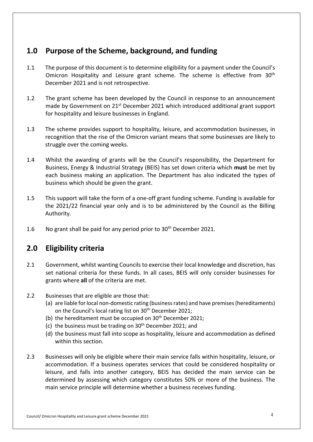# **1.0 Purpose of the Scheme, background, and funding**

- $1.1$ Omicron Hospitality and Leisure grant scheme. The scheme is effective from 30<sup>th</sup> December 2021 and is not retrospective. The purpose of this document is to determine eligibility for a payment under the Council's
- 1.2 The grant scheme has been developed by the Council in response to an announcement made by Government on 21<sup>st</sup> December 2021 which introduced additional grant support for hospitality and leisure businesses in England.
- $1.3$  recognition that the rise of the Omicron variant means that some businesses are likely to struggle over the coming weeks. The scheme provides support to hospitality, leisure, and accommodation businesses, in
- 1.4 Whilst the awarding of grants will be the Council's responsibility, the Department for Business, Energy & Industrial Strategy (BEIS) has set down criteria which **must** be met by business which should be given the grant. each business making an application. The Department has also indicated the types of
- $1.5$  the 2021/22 financial year only and is to be administered by the Council as the Billing This support will take the form of a one-off grant funding scheme. Funding is available for Authority.
- $1.6$ No grant shall be paid for any period prior to 30<sup>th</sup> December 2021.

# **2.0 Eligibility criteria**

- 2.1 Government, whilst wanting Councils to exercise their local knowledge and discretion, has set national criteria for these funds. In all cases, BEIS will only consider businesses for grants where **all** of the criteria are met.
- 2.2 Businesses that are eligible are those that:
	- (a) are liable for local non-domestic rating (business rates) and have premises (hereditaments) on the Council's local rating list on 30<sup>th</sup> December 2021;
	- (b) the hereditament must be occupied on  $30<sup>th</sup>$  December 2021;
	- (c) the business must be trading on  $30<sup>th</sup>$  December 2021; and
	- (d) the business must fall into scope as hospitality, leisure and accommodation as defined within this section.
- 2.3 Businesses will only be eligible where their main service falls within hospitality, leisure, or accommodation. If a business operates services that could be considered hospitality or leisure, and falls into another category, BEIS has decided the main service can be determined by assessing which category constitutes 50% or more of the business. The main service principle will determine whether a business receives funding.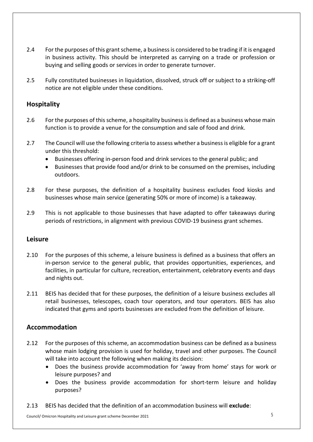- $2.4$  in business activity. This should be interpreted as carrying on a trade or profession or buying and selling goods or services in order to generate turnover. 2.4 For the purposes of this grant scheme, a business is considered to be trading if it is engaged
- $2.5$  notice are not eligible under these conditions. 2.5 Fully constituted businesses in liquidation, dissolved, struck off or subject to a striking-off

#### **Hospitality**

- $2.6$  function is to provide a venue for the consumption and sale of food and drink. For the purposes of this scheme, a hospitality business is defined as a business whose main
- 2.7 The Council will use the following criteria to assess whether a business is eligible for a grant under this threshold:
	- Businesses offering in-person food and drink services to the general public; and
	- • Businesses that provide food and/or drink to be consumed on the premises, including outdoors.
- 2.8 For these purposes, the definition of a hospitality business excludes food kiosks and businesses whose main service (generating 50% or more of income) is a takeaway.
- 2.9 This is not applicable to those businesses that have adapted to offer takeaways during periods of restrictions, in alignment with previous COVID-19 business grant schemes.

#### **Leisure**

- $2.10$  in-person service to the general public, that provides opportunities, experiences, and facilities, in particular for culture, recreation, entertainment, celebratory events and days and nights out. For the purposes of this scheme, a leisure business is defined as a business that offers an
- $2.11$  retail businesses, telescopes, coach tour operators, and tour operators. BEIS has also indicated that gyms and sports businesses are excluded from the definition of leisure. 2.11 BEIS has decided that for these purposes, the definition of a leisure business excludes all

#### **Accommodation**

- $2.12$  whose main lodging provision is used for holiday, travel and other purposes. The Council 2.12 For the purposes of this scheme, an accommodation business can be defined as a business will take into account the following when making its decision:
	- • Does the business provide accommodation for 'away from home' stays for work or leisure purposes? and
	- • Does the business provide accommodation for short-term leisure and holiday purposes?
- $2.13$ 2.13 BEIS has decided that the definition of an accommodation business will **exclude**: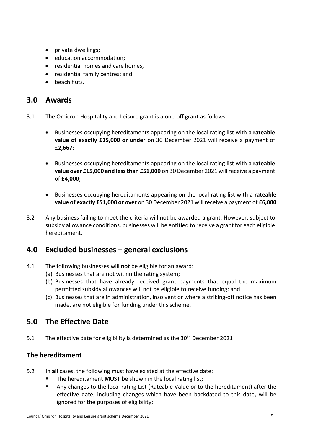- private dwellings;
- education accommodation;
- residential homes and care homes,
- residential family centres; and
- beach huts.

## **3.0 Awards**

- 3.1 The Omicron Hospitality and Leisure grant is a one-off grant as follows:
	- • Businesses occupying hereditaments appearing on the local rating list with a **rateable value of exactly £15,000 or under** on 30 December 2021 will receive a payment of £**2,667**;
	- • Businesses occupying hereditaments appearing on the local rating list with a **rateable value over £15,000 and less than £51,000** on 30 December 2021 will receive a payment of **£4,000**;
	- • Businesses occupying hereditaments appearing on the local rating list with a **rateable value of exactly £51,000 or over** on 30 December 2021 will receive a payment of **£6,000**
- $3.2$  subsidy allowance conditions, businesses will be entitled to receive a grant for each eligible Any business failing to meet the criteria will not be awarded a grant. However, subject to hereditament.

## **4.0 Excluded businesses – general exclusions**

- 4.1 The following businesses will **not** be eligible for an award:
	- (a) Businesses that are not within the rating system;
	- (b) Businesses that have already received grant payments that equal the maximum permitted subsidy allowances will not be eligible to receive funding; and
	- (c) Businesses that are in administration, insolvent or where a striking-off notice has been made, are not eligible for funding under this scheme.

# **5.0 The Effective Date**

 $5.1$ The effective date for eligibility is determined as the 30<sup>th</sup> December 2021

#### **The hereditament**

- 5.2 In **all** cases, the following must have existed at the effective date:
	- The hereditament **MUST** be shown in the local rating list;
	- • Any changes to the local rating List (Rateable Value or to the hereditament) after the effective date, including changes which have been backdated to this date, will be ignored for the purposes of eligibility;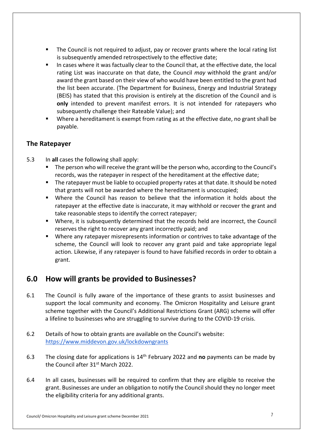- • The Council is not required to adjust, pay or recover grants where the local rating list is subsequently amended retrospectively to the effective date;
- • In cases where it was factually clear to the Council that, at the effective date, the local rating List was inaccurate on that date, the Council *may* withhold the grant and/or award the grant based on their view of who would have been entitled to the grant had the list been accurate. (The Department for Business, Energy and Industrial Strategy (BEIS) has stated that this provision is entirely at the discretion of the Council and is **only** intended to prevent manifest errors. It is not intended for ratepayers who subsequently challenge their Rateable Value); and
- • Where a hereditament is exempt from rating as at the effective date, no grant shall be payable.

#### **The Ratepayer**

- $5.3$ 5.3 In **all** cases the following shall apply:
	- • The person who will receive the grant will be the person who, according to the Council's records, was the ratepayer in respect of the hereditament at the effective date;
	- • The ratepayer must be liable to occupied property rates at that date. It should be noted that grants will not be awarded where the hereditament is unoccupied;
	- • Where the Council has reason to believe that the information it holds about the ratepayer at the effective date is inaccurate, it may withhold or recover the grant and take reasonable steps to identify the correct ratepayer;
	- • Where, it is subsequently determined that the records held are incorrect, the Council reserves the right to recover any grant incorrectly paid; and
	- • Where any ratepayer misrepresents information or contrives to take advantage of the scheme, the Council will look to recover any grant paid and take appropriate legal action. Likewise, if any ratepayer is found to have falsified records in order to obtain a grant.

# **6.0 How will grants be provided to Businesses?**

- $6.1$  support the local community and economy. The Omicron Hospitality and Leisure grant scheme together with the Council's Additional Restrictions Grant (ARG) scheme will offer a lifeline to businesses who are struggling to survive during to the COVID-19 crisis. The Council is fully aware of the importance of these grants to assist businesses and
- $6.2$ Details of how to obtain grants are available on the Council's website: <https://www.middevon.gov.uk/lockdowngrants>
- $6.3$ the Council after 31<sup>st</sup> March 2022. 6.3 The closing date for applications is 14th February 2022 and **no** payments can be made by
- 6.4 grant. Businesses are under an obligation to notify the Council should they no longer meet the eligibility criteria for any additional grants. In all cases, businesses will be required to confirm that they are eligible to receive the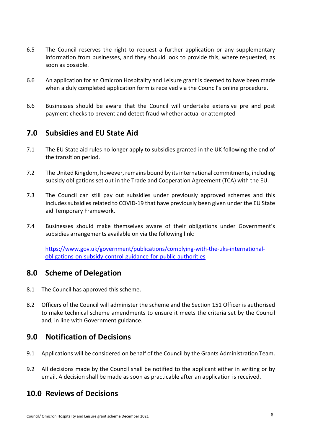- $6.5$  information from businesses, and they should look to provide this, where requested, as soon as possible. The Council reserves the right to request a further application or any supplementary
- $6.6$  when a duly completed application form is received via the Council's online procedure. 6.6 An application for an Omicron Hospitality and Leisure grant is deemed to have been made
- 6.6 Businesses should be aware that the Council will undertake extensive pre and post payment checks to prevent and detect fraud whether actual or attempted

# **7.0 Subsidies and EU State Aid**

- $7.1$ The EU State aid rules no longer apply to subsidies granted in the UK following the end of the transition period.
- $7.2$  subsidy obligations set out in the Trade and Cooperation Agreement (TCA) with the EU. The United Kingdom, however, remains bound by its international commitments, including
- $7.3$  includes subsidies related to COVID-19 that have previously been given under the EU State The Council can still pay out subsidies under previously approved schemes and this aid Temporary Framework.
- 7.4 Businesses should make themselves aware of their obligations under Government's subsidies arrangements available on via the following link:

<https://www.gov.uk/government/publications/complying-with-the-uks-international>obligations-on-subsidy-control-guidance-for-public-authorities

## **8.0 Scheme of Delegation**

- 8.1 The Council has approved this scheme.
- $8.2$  to make technical scheme amendments to ensure it meets the criteria set by the Council and, in line with Government guidance. 8.2 Officers of the Council will administer the scheme and the Section 151 Officer is authorised

# **9.0 Notification of Decisions**

- 9.1 Applications will be considered on behalf of the Council by the Grants Administration Team.
- $9.2$  email. A decision shall be made as soon as practicable after an application is received. All decisions made by the Council shall be notified to the applicant either in writing or by

# **10.0 Reviews of Decisions**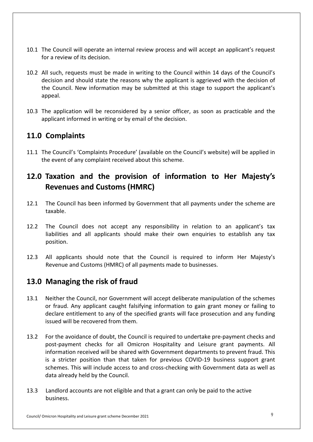- 10.1 The Council will operate an internal review process and will accept an applicant's request for a review of its decision.
- 10.2 All such, requests must be made in writing to the Council within 14 days of the Council's decision and should state the reasons why the applicant is aggrieved with the decision of the Council. New information may be submitted at this stage to support the applicant's appeal.
- appeal.<br>10.3 The application will be reconsidered by a senior officer, as soon as practicable and the applicant informed in writing or by email of the decision.

## **11.0 Complaints**

 11.1 The Council's 'Complaints Procedure' (available on the Council's website) will be applied in the event of any complaint received about this scheme.

# **12.0 Taxation and the provision of information to Her Majesty's Revenues and Customs (HMRC)**

- $12.1$ taxable The Council has been informed by Government that all payments under the scheme are
- $12.2$  liabilities and all applicants should make their own enquiries to establish any tax The Council does not accept any responsibility in relation to an applicant's tax position.
- $12.3$  Revenue and Customs (HMRC) of all payments made to businesses. 12.3 All applicants should note that the Council is required to inform Her Majesty's

## **13.0 Managing the risk of fraud**

- $13.1$  or fraud. Any applicant caught falsifying information to gain grant money or failing to declare entitlement to any of the specified grants will face prosecution and any funding issued will be recovered from them. Neither the Council, nor Government will accept deliberate manipulation of the schemes
- $13.2$  post-payment checks for all Omicron Hospitality and Leisure grant payments. All information received will be shared with Government departments to prevent fraud. This is a stricter position than that taken for previous COVID-19 business support grant schemes. This will include access to and cross-checking with Government data as well as data already held by the Council. 13.2 For the avoidance of doubt, the Council is required to undertake pre-payment checks and
- $13.3$ Landlord accounts are not eligible and that a grant can only be paid to the active business.